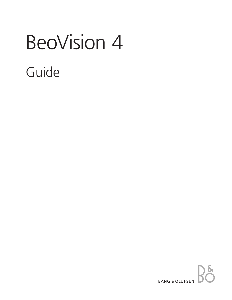# BeoVision 4 Guide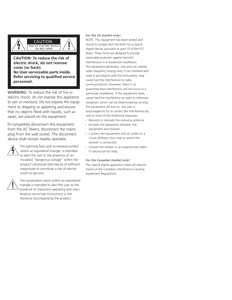

# **CAUTION: To reduce the risk of electric shock, do not remove cover (or back). No User-serviceable parts inside. Refer servicing to qualified service personnel.**

WARNING: To reduce the risk of fire or electric shock, do not expose this appliance to rain or moisture. Do not expose this equipment to dripping or splashing and ensure that no objects filled with liquids, such as vases, are placed on the equipment.

To completely disconnect this equipment from the AC Mains, disconnect the mains plug from the wall socket. The disconnect device shall remain readily operable.



The lightning flash with arrowhead symbol within an equilateral triangle, is intended to alert the user to the presence of uninsulated "dangerous voltage" within the product's enclosure that may be of sufficient magnitude to constitute a risk of electric shock to persons.



The exclamation point within an equilateral triangle is intended to alert the user to the presence of important operating and maintenance (servicing) instructions in the literature accompanying the product.

### *For the US-market only!*

NOTE: This equipment has been tested and found to comply with the limits for a class B digital device, pursuant to part 15 of the FCC Rules. These limits are designed to provide reasonable protection against harmful interference in a residential installation. This equipment generates, uses and can radiate radio frequency energy and, if not installed and used in accordance with the instructions, may cause harmful interference to radio communications. However, there is no guarantee that interference will not occur in a particular installation. If this equipment does cause harmful interference to radio or television reception, which can be determined by turning the equipment off and on, the user is encouraged to try to correct the interference by one or more of the following measures:

- Reorient or relocate the receiving antenna.
- Increase the separation between the equipment and receiver.
- Connect the equipment into an outlet on a circuit different from that to which the receiver is connected.
- Consult the retailer or an experienced radio/ TV technician for help.

#### *For the Canadian market only!*

This class B digital apparatus meets all requirements of the Canadian Interference-Causing Equipment Regulations.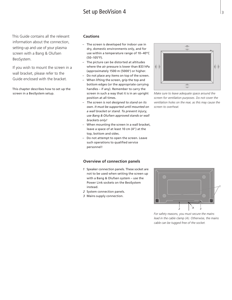# Set up BeoVision 4

This Guide contains all the relevant information about the connection, setting-up and use of your plasma screen with a Bang & Olufsen BeoSystem.

If you wish to mount the screen in a wall bracket, please refer to the Guide enclosed with the bracket.

This chapter describes how to set up the screen in a BeoSystem setup.

# **Cautions**

- The screen is developed for indoor use in dry, domestic environments only, and for use within a temperature range of 10–40°C (50–105°F).
- The picture can be distorted at altitudes where the air pressure is lower than 833 hPa (approximately 1500 m (5000') or higher.
- Do not place any items on top of the screen.
- When lifting the screen, grip the top and bottom edges (or the appropriate carrying handles – if any). Remember to carry the screen in such a way that it is in an upright position at all times.
- *– The screen is not designed to stand on its own. It must be supported until mounted on a wall bracket or stand. To prevent injury, use Bang & Olufsen approved stands or wall brackets only!*
- When mounting the screen in a wall bracket, leave a space of at least 10 cm (4") at the top, bottom and sides.
- Do not attempt to open the screen. Leave such operations to qualified service personnel!

## **Overview of connection panels**

- *1* Speaker connection panels. These socket are not to be used when setting the screen up with a Bang & Olufsen system – use the Power Link sockets on the BeoSystem instead.
- *2* System connection panels.
- *3* Mains supply connection.



*Make sure to leave adequate space around the screen for ventilation purposes. Do not cover the ventilation holes on the rear, as this may cause the screen to overheat.*



*For safety reasons, you must secure the mains lead in the cable clamp (A). Otherwise, the mains cable can be tugged free of the socket.*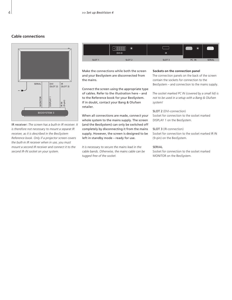# **Cable connections**



IR receiver: *The screen has a built-in IR receiver. It is therefore not necessary to mount a separat IR receiver, as it is described in the BeoSystem Reference book. Only if a projector screen covers the built-in IR receiver when in use, you must mount a second IR receiver and connect it to the second IR-IN socket on your system.*

|                   | <b>Tiiliii</b><br>_<br>৺<br>DVI-D | <b>IR</b>         | -<br>-<br>◡ | .<br><b></b>  |
|-------------------|-----------------------------------|-------------------|-------------|---------------|
| SLOT <sub>1</sub> | SLOT <sub>2</sub>                 | SLOT <sub>3</sub> | PC IN       | <b>SERIAL</b> |
|                   |                                   |                   |             |               |

Make the connections while both the screen and your BeoSystem are disconnected from the mains.

Connect the screen using the appropriate type of cables. Refer to the illustration here – and to the Reference book for your BeoSystem. If in doubt, contact your Bang & Olufsen retailer.

When all connections are made, connect your whole system to the mains supply. The screen (and the BeoSystem) can only be switched off completely by disconnecting it from the mains supply. However, the screen is designed to be left in standby mode – ready for use.

*It is necessary to secure the mains lead in the cable bands. Otherwise, the mains cable can be tugged free of the socket.*

#### **Sockets on the connection panel**

The connection panels on the back of the screen contain the sockets for connection to the BeoSystem – and connection to the mains supply.

*The socket marked PC IN (covered by a small lid) is not to be used in a setup with a Bang & Olufsen system!*

SLOT 2 (DVI-connection) Socket for connection to the socket marked DISPLAY 1 on the BeoSystem.

SLOT 3 (IR-connection) Socket for connection to the socket marked IR IN (9-pin) on the BeoSystem.

#### SERIAL

Socket for connection to the socket marked MONITOR on the BeoSystem.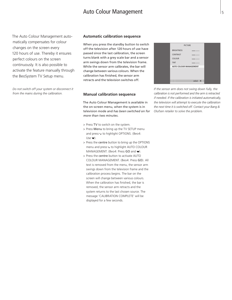# Auto Colour Management

The Auto Colour Management automatically compensates for colour changes on the screen every 120 hours of use. Thereby it ensures perfect colours on the screen continuously. It is also possible to activate the feature manually through the BeoSystem TV Setup menu.

*Do not switch off your system or disconnect it from the mains during the calibration.*

#### **Automatic calibration sequence**

When you press the standby button to switch off the television after 120 hours of use have passed since the last calibration, the screen turns blank with a grey scale bar and a sensor arm swings down from the television frame. While the sensor arm calibrates, the bar will change between various colours. When the calibration has finished, the sensor arm retracts and the television switches off.

#### **Manual calibration sequence**

The Auto Colour Management is available in the on-screen menu, when the system is in television mode and *has been switched on for more than two minutes*.

- > Press TV to switch on the system.
- > Press Menu to bring up the TV SETUP menu and press  $\vee$  to highlight OPTIONS. (Beo4:  $Use \blacktriangleright$ .
- > Press the centre button to bring up the OPTIONS menu and press  $\vee$  to highlight AUTO COLOUR MANAGEMENT. (Beo4: Press GO and  $\blacktriangledown$ ).
- > Press the centre button to activate AUTO COLOUR MANAGEMENT. (Beo4: Press GO). All text is removed from the menu, the sensor arm swings down from the television frame and the calibration process begins. The bar on the screen will change between various colours. When the calibration has finished, the bar is removed, the sensor arm retracts and the system returns to the last chosen source. The message 'CALIBRATION COMPLETE' will be displayed for a few seconds.

| <b>PICTURE</b>                |                  |
|-------------------------------|------------------|
| <b>BRIGHTNESS</b>             | ---------------- |
| CONTRAST                      | ---------------- |
| COLOUR                        | ---------------- |
| <b>TINT</b>                   | ---------------- |
| <b>AUTO COLOUR MANAGEMENT</b> |                  |
|                               |                  |
|                               |                  |
|                               | select           |
|                               |                  |

*If the sensor arm does not swing down fully, the calibration is not performed and the arm is retracted if needed. If the calibration is initiated automatically, the television will attempt to execute the calibration the next time it is switched off. Contact your Bang & Olufsen retailer to solve the problem.*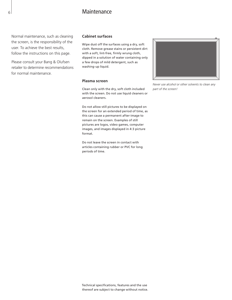# **Maintenance**

Normal maintenance, such as cleaning the screen, is the responsibility of the user. To achieve the best results, follow the instructions on this page.

Please consult your Bang & Olufsen retailer to determine recommendations for normal maintenance.

# **Cabinet surfaces**

Wipe dust off the surfaces using a dry, soft cloth. Remove grease stains or persistent dirt with a soft, lint-free, firmly wrung cloth, dipped in a solution of water containing only a few drops of mild detergent, such as washing-up liquid.

#### **Plasma screen**

Clean only with the dry, soft cloth included with the screen. Do not use liquid cleaners or aerosol cleaners.

Do not allow still pictures to be displayed on the screen for an extended period of time, as this can cause a permanent after-image to remain on the screen. Examples of still pictures are logos, video games, computer images, and images displayed in 4:3 picture format.

Do not leave the screen in contact with articles containing rubber or PVC for long periods of time.



*Never use alcohol or other solvents to clean any part of the screen!*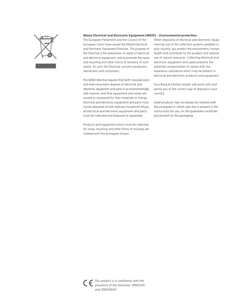

#### **Waste Electrical and Electronic Equipment (WEEE) – Environmental protection**

The European Parliament and the Council of the European Union have issued the Waste Electrical and Electronic Equipment Directive. The purpose of the Directive is the prevention of waste of electrical and electronic equipment, and to promote the reuse and recycling and other forms of recovery of such waste. As such the Directive concerns producers, distributors and consumers.

The WEEE directive requires that both manufacturers and end-consumers dispose of electrical and electronic equipment and parts in an environmentally safe manner, and that equipment and waste are reused or recovered for their materials or energy. Electrical and electronic equipment and parts must not be disposed of with ordinary household refuse; all electrical and electronic equipment and parts must be collected and disposed of separately.

Products and equipment which must be collected for reuse, recycling and other forms of recovery are marked with the pictogram shown.

When disposing of electrical and electronic equipment by use of the collection systems available in your country, you protect the environment, human health and contribute to the prudent and rational use of natural resources. Collecting electrical and electronic equipment and waste prevents the potential contamination of nature with the hazardous substances which may be present in electrical and electronic products and equipment.

Your Bang & Olufsen retailer will assist with and advise you of the correct way of disposal in your country.

*Small products may not always be marked with the pictogram in which case this is present in the instructions for use, on the guarantee certificate and printed on the packaging.*

*This product is in conformity with the provisions of the Directives 1999/5/EC and 2006/95/EC.*